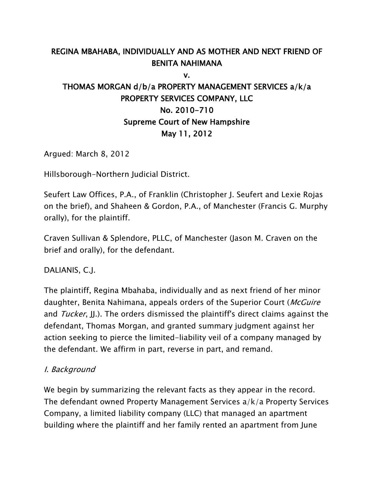## REGINA MBAHABA, INDIVIDUALLY AND AS MOTHER AND NEXT FRIEND OF BENITA NAHIMANA

v.

# THOMAS MORGAN d/b/a PROPERTY MANAGEMENT SERVICES a/k/a PROPERTY SERVICES COMPANY, LLC No. 2010-710 Supreme Court of New Hampshire May 11, 2012

Argued: March 8, 2012

Hillsborough-Northern Judicial District.

Seufert Law Offices, P.A., of Franklin (Christopher J. Seufert and Lexie Rojas on the brief), and Shaheen & Gordon, P.A., of Manchester (Francis G. Murphy orally), for the plaintiff.

Craven Sullivan & Splendore, PLLC, of Manchester (Jason M. Craven on the brief and orally), for the defendant.

DALIANIS, C.J.

The plaintiff, Regina Mbahaba, individually and as next friend of her minor daughter, Benita Nahimana, appeals orders of the Superior Court (McGuire and *Tucker*, J...). The orders dismissed the plaintiff's direct claims against the defendant, Thomas Morgan, and granted summary judgment against her action seeking to pierce the limited-liability veil of a company managed by the defendant. We affirm in part, reverse in part, and remand.

#### I. Background

We begin by summarizing the relevant facts as they appear in the record. The defendant owned Property Management Services a/k/a Property Services Company, a limited liability company (LLC) that managed an apartment building where the plaintiff and her family rented an apartment from June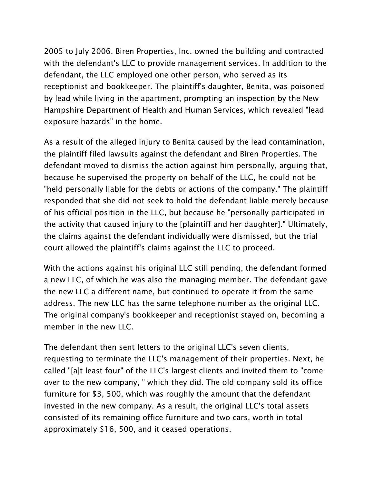2005 to July 2006. Biren Properties, Inc. owned the building and contracted with the defendant's LLC to provide management services. In addition to the defendant, the LLC employed one other person, who served as its receptionist and bookkeeper. The plaintiff's daughter, Benita, was poisoned by lead while living in the apartment, prompting an inspection by the New Hampshire Department of Health and Human Services, which revealed "lead exposure hazards" in the home.

As a result of the alleged injury to Benita caused by the lead contamination, the plaintiff filed lawsuits against the defendant and Biren Properties. The defendant moved to dismiss the action against him personally, arguing that, because he supervised the property on behalf of the LLC, he could not be "held personally liable for the debts or actions of the company." The plaintiff responded that she did not seek to hold the defendant liable merely because of his official position in the LLC, but because he "personally participated in the activity that caused injury to the [plaintiff and her daughter]." Ultimately, the claims against the defendant individually were dismissed, but the trial court allowed the plaintiff's claims against the LLC to proceed.

With the actions against his original LLC still pending, the defendant formed a new LLC, of which he was also the managing member. The defendant gave the new LLC a different name, but continued to operate it from the same address. The new LLC has the same telephone number as the original LLC. The original company's bookkeeper and receptionist stayed on, becoming a member in the new LLC.

The defendant then sent letters to the original LLC's seven clients, requesting to terminate the LLC's management of their properties. Next, he called "[a]t least four" of the LLC's largest clients and invited them to "come over to the new company, " which they did. The old company sold its office furniture for \$3, 500, which was roughly the amount that the defendant invested in the new company. As a result, the original LLC's total assets consisted of its remaining office furniture and two cars, worth in total approximately \$16, 500, and it ceased operations.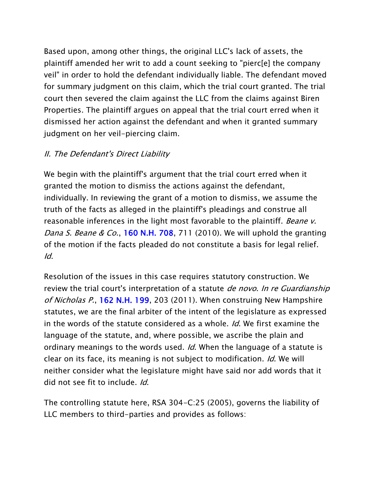Based upon, among other things, the original LLC's lack of assets, the plaintiff amended her writ to add a count seeking to "pierc[e] the company veil" in order to hold the defendant individually liable. The defendant moved for summary judgment on this claim, which the trial court granted. The trial court then severed the claim against the LLC from the claims against Biren Properties. The plaintiff argues on appeal that the trial court erred when it dismissed her action against the defendant and when it granted summary judgment on her veil-piercing claim.

#### II. The Defendant's Direct Liability

We begin with the plaintiff's argument that the trial court erred when it granted the motion to dismiss the actions against the defendant, individually. In reviewing the grant of a motion to dismiss, we assume the truth of the facts as alleged in the plaintiff's pleadings and construe all reasonable inferences in the light most favorable to the plaintiff. Beane v. Dana S. Beane & Co., [160 N.H. 708,](http://www.casemakerlegal.com/SearchResult.aspx?searchFields%5bstate%5d=&query=160+N.H.+708&juriStatesHidden=&searchCriteria=Citation&tabAction=ALLC&dtypeName=&headAdmin=&headCaselaw=&headStatutes=&searchType=overview&jurisdictions.allStates=on&jurisdictions.includeRelatedFederal=on&pinCite=y) 711 (2010). We will uphold the granting of the motion if the facts pleaded do not constitute a basis for legal relief. Id.

Resolution of the issues in this case requires statutory construction. We review the trial court's interpretation of a statute *de novo. In re Guardianship* of Nicholas P., [162 N.H. 199,](http://www.casemakerlegal.com/SearchResult.aspx?searchFields%5bstate%5d=&query=162+N.H.+199&juriStatesHidden=&searchCriteria=Citation&tabAction=ALLC&dtypeName=&headAdmin=&headCaselaw=&headStatutes=&searchType=overview&jurisdictions.allStates=on&jurisdictions.includeRelatedFederal=on&pinCite=y) 203 (2011). When construing New Hampshire statutes, we are the final arbiter of the intent of the legislature as expressed in the words of the statute considered as a whole. *Id*. We first examine the language of the statute, and, where possible, we ascribe the plain and ordinary meanings to the words used. *Id*. When the language of a statute is clear on its face, its meaning is not subject to modification. Id. We will neither consider what the legislature might have said nor add words that it did not see fit to include. Id.

The controlling statute here, RSA 304-C:25 (2005), governs the liability of LLC members to third-parties and provides as follows: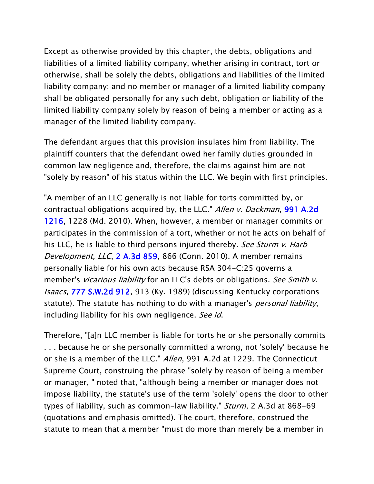Except as otherwise provided by this chapter, the debts, obligations and liabilities of a limited liability company, whether arising in contract, tort or otherwise, shall be solely the debts, obligations and liabilities of the limited liability company; and no member or manager of a limited liability company shall be obligated personally for any such debt, obligation or liability of the limited liability company solely by reason of being a member or acting as a manager of the limited liability company.

The defendant argues that this provision insulates him from liability. The plaintiff counters that the defendant owed her family duties grounded in common law negligence and, therefore, the claims against him are not "solely by reason" of his status within the LLC. We begin with first principles.

"A member of an LLC generally is not liable for torts committed by, or contractual obligations acquired by, the LLC." Allen v. Dackman, 991 A.2d [1216,](http://www.casemakerlegal.com/SearchResult.aspx?searchFields%5bstate%5d=&query=991+A.2d+1216&juriStatesHidden=&searchCriteria=Citation&tabAction=ALLC&dtypeName=&headAdmin=&headCaselaw=&headStatutes=&searchType=overview&jurisdictions.allStates=on&jurisdictions.includeRelatedFederal=on&pinCite=y) 1228 (Md. 2010). When, however, a member or manager commits or participates in the commission of a tort, whether or not he acts on behalf of his LLC, he is liable to third persons injured thereby. See Sturm v. Harb Development, LLC, [2 A.3d 859,](http://www.casemakerlegal.com/SearchResult.aspx?searchFields%5bstate%5d=&query=2+A.3d+859&juriStatesHidden=&searchCriteria=Citation&tabAction=ALLC&dtypeName=&headAdmin=&headCaselaw=&headStatutes=&searchType=overview&jurisdictions.allStates=on&jurisdictions.includeRelatedFederal=on&pinCite=y) 866 (Conn. 2010). A member remains personally liable for his own acts because RSA 304-C:25 governs a member's *vicarious liability* for an LLC's debts or obligations. See Smith v. Isaacs, [777 S.W.2d 912,](http://www.casemakerlegal.com/SearchResult.aspx?searchFields%5bstate%5d=&query=777+S.W.2d+912&juriStatesHidden=&searchCriteria=Citation&tabAction=ALLC&dtypeName=&headAdmin=&headCaselaw=&headStatutes=&searchType=overview&jurisdictions.allStates=on&jurisdictions.includeRelatedFederal=on&pinCite=y) 913 (Ky. 1989) (discussing Kentucky corporations statute). The statute has nothing to do with a manager's *personal liability*, including liability for his own negligence. See id.

Therefore, "[a]n LLC member is liable for torts he or she personally commits . . . because he or she personally committed a wrong, not 'solely' because he or she is a member of the LLC." Allen, 991 A.2d at 1229. The Connecticut Supreme Court, construing the phrase "solely by reason of being a member or manager, " noted that, "although being a member or manager does not impose liability, the statute's use of the term 'solely' opens the door to other types of liability, such as common-law liability." *Sturm*, 2 A.3d at 868-69 (quotations and emphasis omitted). The court, therefore, construed the statute to mean that a member "must do more than merely be a member in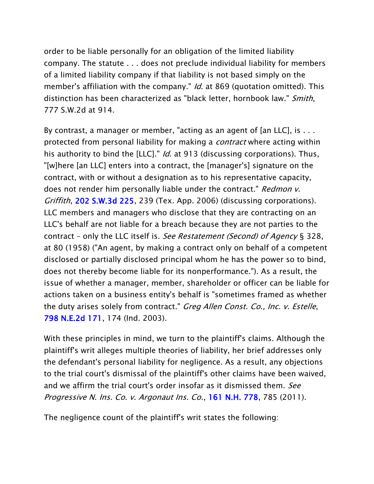order to be liable personally for an obligation of the limited liability company. The statute . . . does not preclude individual liability for members of a limited liability company if that liability is not based simply on the member's affiliation with the company." *Id.* at 869 (quotation omitted). This distinction has been characterized as "black letter, hornbook law." Smith, 777 S.W.2d at 914.

By contrast, a manager or member, "acting as an agent of [an LLC], is . . . protected from personal liability for making a *contract* where acting within his authority to bind the [LLC]." *Id*. at 913 (discussing corporations). Thus, "[w]here [an LLC] enters into a contract, the [manager's] signature on the contract, with or without a designation as to his representative capacity, does not render him personally liable under the contract." Redmon v. Griffith, [202 S.W.3d 225,](http://www.casemakerlegal.com/SearchResult.aspx?searchFields%5bstate%5d=&query=202+S.W.3d+225&juriStatesHidden=&searchCriteria=Citation&tabAction=ALLC&dtypeName=&headAdmin=&headCaselaw=&headStatutes=&searchType=overview&jurisdictions.allStates=on&jurisdictions.includeRelatedFederal=on&pinCite=y) 239 (Tex. App. 2006) (discussing corporations). LLC members and managers who disclose that they are contracting on an LLC's behalf are not liable for a breach because they are not parties to the contract – only the LLC itself is. See Restatement (Second) of Agency § 328, at 80 (1958) ("An agent, by making a contract only on behalf of a competent disclosed or partially disclosed principal whom he has the power so to bind, does not thereby become liable for its nonperformance."). As a result, the issue of whether a manager, member, shareholder or officer can be liable for actions taken on a business entity's behalf is "sometimes framed as whether the duty arises solely from contract." Greg Allen Const. Co., Inc. v. Estelle, [798 N.E.2d 171,](http://www.casemakerlegal.com/SearchResult.aspx?searchFields%5bstate%5d=&query=798+N.E.2d+171&juriStatesHidden=&searchCriteria=Citation&tabAction=ALLC&dtypeName=&headAdmin=&headCaselaw=&headStatutes=&searchType=overview&jurisdictions.allStates=on&jurisdictions.includeRelatedFederal=on&pinCite=y) 174 (Ind. 2003).

With these principles in mind, we turn to the plaintiff's claims. Although the plaintiff's writ alleges multiple theories of liability, her brief addresses only the defendant's personal liability for negligence. As a result, any objections to the trial court's dismissal of the plaintiff's other claims have been waived, and we affirm the trial court's order insofar as it dismissed them. See Progressive N. Ins. Co. v. Argonaut Ins. Co., [161 N.H. 778,](http://www.casemakerlegal.com/SearchResult.aspx?searchFields%5bstate%5d=&query=161+N.H.+778&juriStatesHidden=&searchCriteria=Citation&tabAction=ALLC&dtypeName=&headAdmin=&headCaselaw=&headStatutes=&searchType=overview&jurisdictions.allStates=on&jurisdictions.includeRelatedFederal=on&pinCite=y) 785 (2011).

The negligence count of the plaintiff's writ states the following: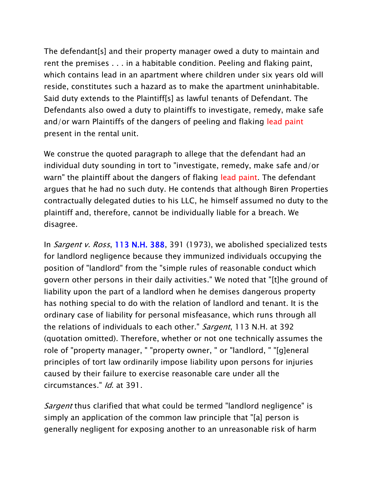The defendant[s] and their property manager owed a duty to maintain and rent the premises . . . in a habitable condition. Peeling and flaking paint, which contains lead in an apartment where children under six years old will reside, constitutes such a hazard as to make the apartment uninhabitable. Said duty extends to the Plaintiff[s] as lawful tenants of Defendant. The Defendants also owed a duty to plaintiffs to investigate, remedy, make safe and/or warn Plaintiffs of the dangers of peeling and flaking lead paint present in the rental unit.

We construe the quoted paragraph to allege that the defendant had an individual duty sounding in tort to "investigate, remedy, make safe and/or warn" the plaintiff about the dangers of flaking lead paint. The defendant argues that he had no such duty. He contends that although Biren Properties contractually delegated duties to his LLC, he himself assumed no duty to the plaintiff and, therefore, cannot be individually liable for a breach. We disagree.

In *Sargent v. Ross*, [113 N.H. 388,](http://www.casemakerlegal.com/SearchResult.aspx?searchFields%5bstate%5d=&query=113+N.H.+388&juriStatesHidden=&searchCriteria=Citation&tabAction=ALLC&dtypeName=&headAdmin=&headCaselaw=&headStatutes=&searchType=overview&jurisdictions.allStates=on&jurisdictions.includeRelatedFederal=on&pinCite=y) 391 (1973), we abolished specialized tests for landlord negligence because they immunized individuals occupying the position of "landlord" from the "simple rules of reasonable conduct which govern other persons in their daily activities." We noted that "[t]he ground of liability upon the part of a landlord when he demises dangerous property has nothing special to do with the relation of landlord and tenant. It is the ordinary case of liability for personal misfeasance, which runs through all the relations of individuals to each other." Sargent, 113 N.H. at 392 (quotation omitted). Therefore, whether or not one technically assumes the role of "property manager, " "property owner, " or "landlord, " "[g]eneral principles of tort law ordinarily impose liability upon persons for injuries caused by their failure to exercise reasonable care under all the circumstances." Id. at 391.

Sargent thus clarified that what could be termed "landlord negligence" is simply an application of the common law principle that "[a] person is generally negligent for exposing another to an unreasonable risk of harm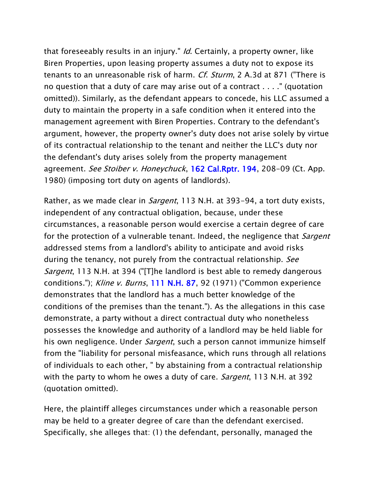that foreseeably results in an injury." Id. Certainly, a property owner, like Biren Properties, upon leasing property assumes a duty not to expose its tenants to an unreasonable risk of harm. Cf. Sturm, 2 A.3d at 871 ("There is no question that a duty of care may arise out of a contract . . . ." (quotation omitted)). Similarly, as the defendant appears to concede, his LLC assumed a duty to maintain the property in a safe condition when it entered into the management agreement with Biren Properties. Contrary to the defendant's argument, however, the property owner's duty does not arise solely by virtue of its contractual relationship to the tenant and neither the LLC's duty nor the defendant's duty arises solely from the property management agreement. See Stoiber v. Honeychuck, [162 Cal.Rptr. 194,](http://www.casemakerlegal.com/SearchResult.aspx?searchFields%5bstate%5d=&query=162+Cal.Rptr.+194&juriStatesHidden=&searchCriteria=Citation&tabAction=ALLC&dtypeName=&headAdmin=&headCaselaw=&headStatutes=&searchType=overview&jurisdictions.allStates=on&jurisdictions.includeRelatedFederal=on&pinCite=y) 208-09 (Ct. App. 1980) (imposing tort duty on agents of landlords).

Rather, as we made clear in *Sargent*, 113 N.H. at 393-94, a tort duty exists, independent of any contractual obligation, because, under these circumstances, a reasonable person would exercise a certain degree of care for the protection of a vulnerable tenant. Indeed, the negligence that *Sargent* addressed stems from a landlord's ability to anticipate and avoid risks during the tenancy, not purely from the contractual relationship. See Sargent, 113 N.H. at 394 ("[T]he landlord is best able to remedy dangerous conditions."); Kline v. Burns, [111 N.H. 87,](http://www.casemakerlegal.com/SearchResult.aspx?searchFields%5bstate%5d=&query=111+N.H.+87&juriStatesHidden=&searchCriteria=Citation&tabAction=ALLC&dtypeName=&headAdmin=&headCaselaw=&headStatutes=&searchType=overview&jurisdictions.allStates=on&jurisdictions.includeRelatedFederal=on&pinCite=y) 92 (1971) ("Common experience demonstrates that the landlord has a much better knowledge of the conditions of the premises than the tenant."). As the allegations in this case demonstrate, a party without a direct contractual duty who nonetheless possesses the knowledge and authority of a landlord may be held liable for his own negligence. Under Sargent, such a person cannot immunize himself from the "liability for personal misfeasance, which runs through all relations of individuals to each other, " by abstaining from a contractual relationship with the party to whom he owes a duty of care. *Sargent*, 113 N.H. at 392 (quotation omitted).

Here, the plaintiff alleges circumstances under which a reasonable person may be held to a greater degree of care than the defendant exercised. Specifically, she alleges that: (1) the defendant, personally, managed the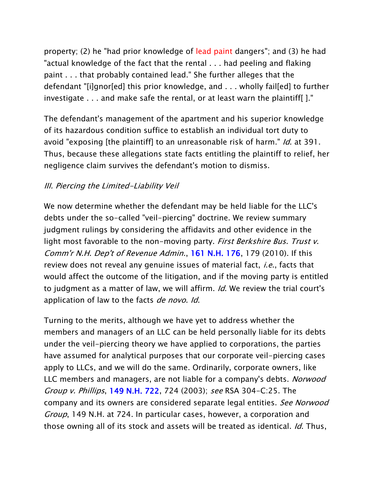property; (2) he "had prior knowledge of lead paint dangers"; and (3) he had "actual knowledge of the fact that the rental . . . had peeling and flaking paint . . . that probably contained lead." She further alleges that the defendant "[i]gnor[ed] this prior knowledge, and . . . wholly fail[ed] to further investigate . . . and make safe the rental, or at least warn the plaintiff[ ]."

The defendant's management of the apartment and his superior knowledge of its hazardous condition suffice to establish an individual tort duty to avoid "exposing [the plaintiff] to an unreasonable risk of harm." Id. at 391. Thus, because these allegations state facts entitling the plaintiff to relief, her negligence claim survives the defendant's motion to dismiss.

### III. Piercing the Limited-Liability Veil

We now determine whether the defendant may be held liable for the LLC's debts under the so-called "veil-piercing" doctrine. We review summary judgment rulings by considering the affidavits and other evidence in the light most favorable to the non-moving party. First Berkshire Bus. Trust v. Comm'r N.H. Dep't of Revenue Admin., [161 N.H. 176,](http://www.casemakerlegal.com/SearchResult.aspx?searchFields%5bstate%5d=&query=161+N.H.+176&juriStatesHidden=&searchCriteria=Citation&tabAction=ALLC&dtypeName=&headAdmin=&headCaselaw=&headStatutes=&searchType=overview&jurisdictions.allStates=on&jurisdictions.includeRelatedFederal=on&pinCite=y) 179 (2010). If this review does not reveal any genuine issues of material fact, *i.e.*, facts that would affect the outcome of the litigation, and if the moving party is entitled to judgment as a matter of law, we will affirm. *Id*. We review the trial court's application of law to the facts *de novo. Id.* 

Turning to the merits, although we have yet to address whether the members and managers of an LLC can be held personally liable for its debts under the veil-piercing theory we have applied to corporations, the parties have assumed for analytical purposes that our corporate veil-piercing cases apply to LLCs, and we will do the same. Ordinarily, corporate owners, like LLC members and managers, are not liable for a company's debts. *Norwood* Group v. Phillips, [149 N.H. 722,](http://www.casemakerlegal.com/SearchResult.aspx?searchFields%5bstate%5d=&query=149+N.H.+722&juriStatesHidden=&searchCriteria=Citation&tabAction=ALLC&dtypeName=&headAdmin=&headCaselaw=&headStatutes=&searchType=overview&jurisdictions.allStates=on&jurisdictions.includeRelatedFederal=on&pinCite=y) 724 (2003); see RSA 304-C:25. The company and its owners are considered separate legal entities. See Norwood Group, 149 N.H. at 724. In particular cases, however, a corporation and those owning all of its stock and assets will be treated as identical. Id. Thus,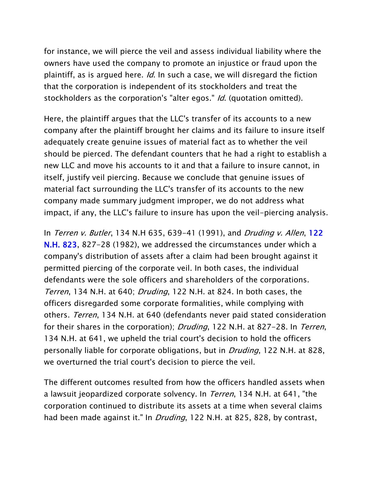for instance, we will pierce the veil and assess individual liability where the owners have used the company to promote an injustice or fraud upon the plaintiff, as is argued here. *Id*. In such a case, we will disregard the fiction that the corporation is independent of its stockholders and treat the stockholders as the corporation's "alter egos." *Id*. (quotation omitted).

Here, the plaintiff argues that the LLC's transfer of its accounts to a new company after the plaintiff brought her claims and its failure to insure itself adequately create genuine issues of material fact as to whether the veil should be pierced. The defendant counters that he had a right to establish a new LLC and move his accounts to it and that a failure to insure cannot, in itself, justify veil piercing. Because we conclude that genuine issues of material fact surrounding the LLC's transfer of its accounts to the new company made summary judgment improper, we do not address what impact, if any, the LLC's failure to insure has upon the veil-piercing analysis.

In Terren v. Butler, 134 N.H 635, 639-41 (1991), and Druding v. Allen, 122 [N.H. 823,](http://www.casemakerlegal.com/SearchResult.aspx?searchFields%5bstate%5d=&query=122+N.H.+823&juriStatesHidden=&searchCriteria=Citation&tabAction=ALLC&dtypeName=&headAdmin=&headCaselaw=&headStatutes=&searchType=overview&jurisdictions.allStates=on&jurisdictions.includeRelatedFederal=on&pinCite=y) 827-28 (1982), we addressed the circumstances under which a company's distribution of assets after a claim had been brought against it permitted piercing of the corporate veil. In both cases, the individual defendants were the sole officers and shareholders of the corporations. Terren, 134 N.H. at 640; Druding, 122 N.H. at 824. In both cases, the officers disregarded some corporate formalities, while complying with others. Terren, 134 N.H. at 640 (defendants never paid stated consideration for their shares in the corporation); *Druding*, 122 N.H. at 827–28. In *Terren*, 134 N.H. at 641, we upheld the trial court's decision to hold the officers personally liable for corporate obligations, but in *Druding*, 122 N.H. at 828, we overturned the trial court's decision to pierce the veil.

The different outcomes resulted from how the officers handled assets when a lawsuit jeopardized corporate solvency. In *Terren*, 134 N.H. at 641, "the corporation continued to distribute its assets at a time when several claims had been made against it." In *Druding*, 122 N.H. at 825, 828, by contrast,